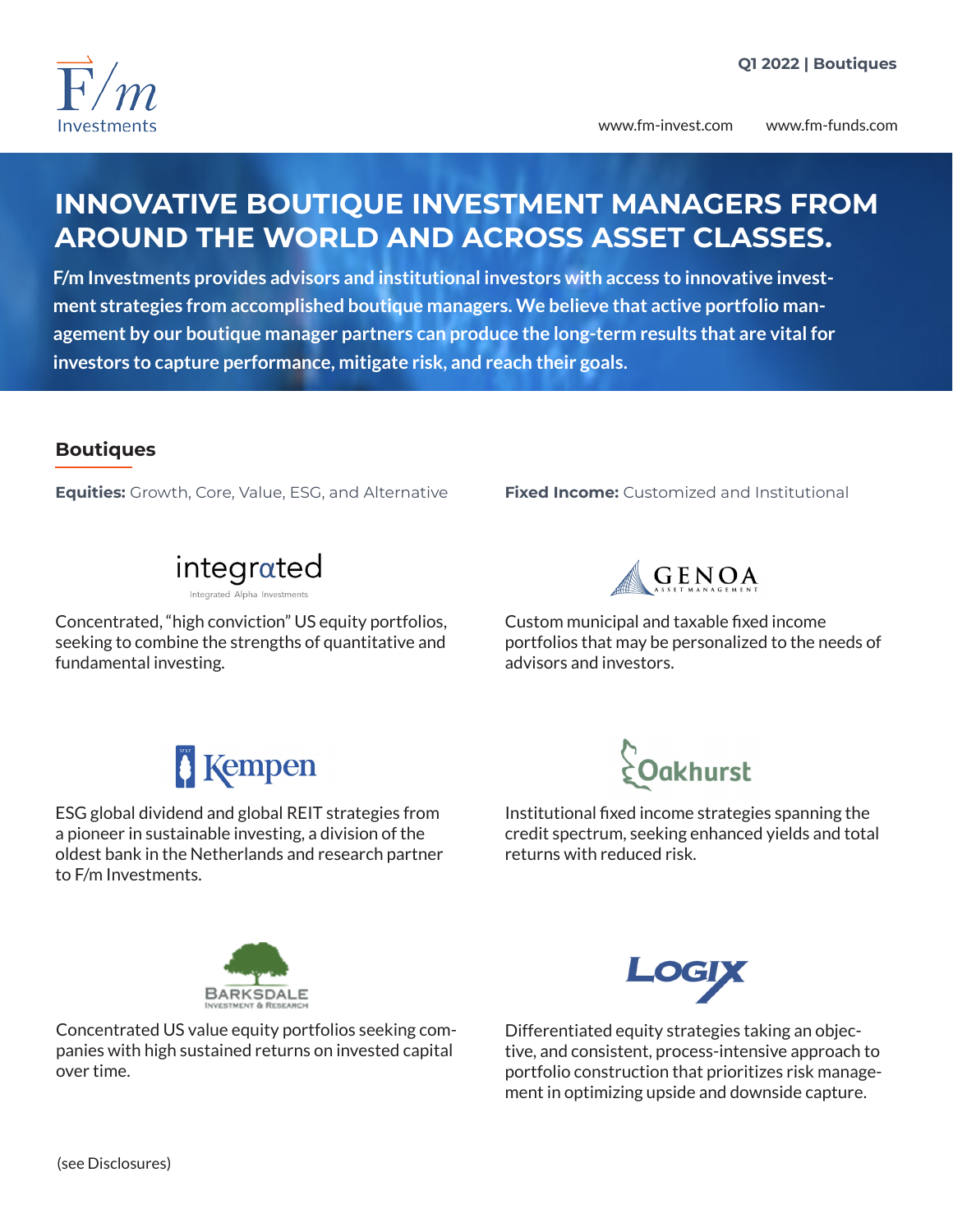

www.fm-invest.com www.fm-funds.com

## **INNOVATIVE BOUTIQUE INVESTMENT MANAGERS FROM AROUND THE WORLD AND ACROSS ASSET CLASSES.**

**F/m Investments provides advisors and institutional investors with access to innovative investment strategies from accomplished boutique managers. We believe that active portfolio management by our boutique manager partners can produce the long-term results that are vital for investors to capture performance, mitigate risk, and reach their goals.**

### **Boutiques**

**Equities:** Growth, Core, Value, ESG, and Alternative **Fixed Income:** Customized and Institutional



Concentrated, "high conviction" US equity portfolios, seeking to combine the strengths of quantitative and fundamental investing.



Custom municipal and taxable fixed income portfolios that may be personalized to the needs of advisors and investors.

# *<u>S* Kempen</u>

ESG global dividend and global REIT strategies from a pioneer in sustainable investing, a division of the oldest bank in the Netherlands and research partner to F/m Investments.



Institutional fixed income strategies spanning the credit spectrum, seeking enhanced yields and total returns with reduced risk.



Concentrated US value equity portfolios seeking companies with high sustained returns on invested capital over time.



Differentiated equity strategies taking an objective, and consistent, process-intensive approach to portfolio construction that prioritizes risk management in optimizing upside and downside capture.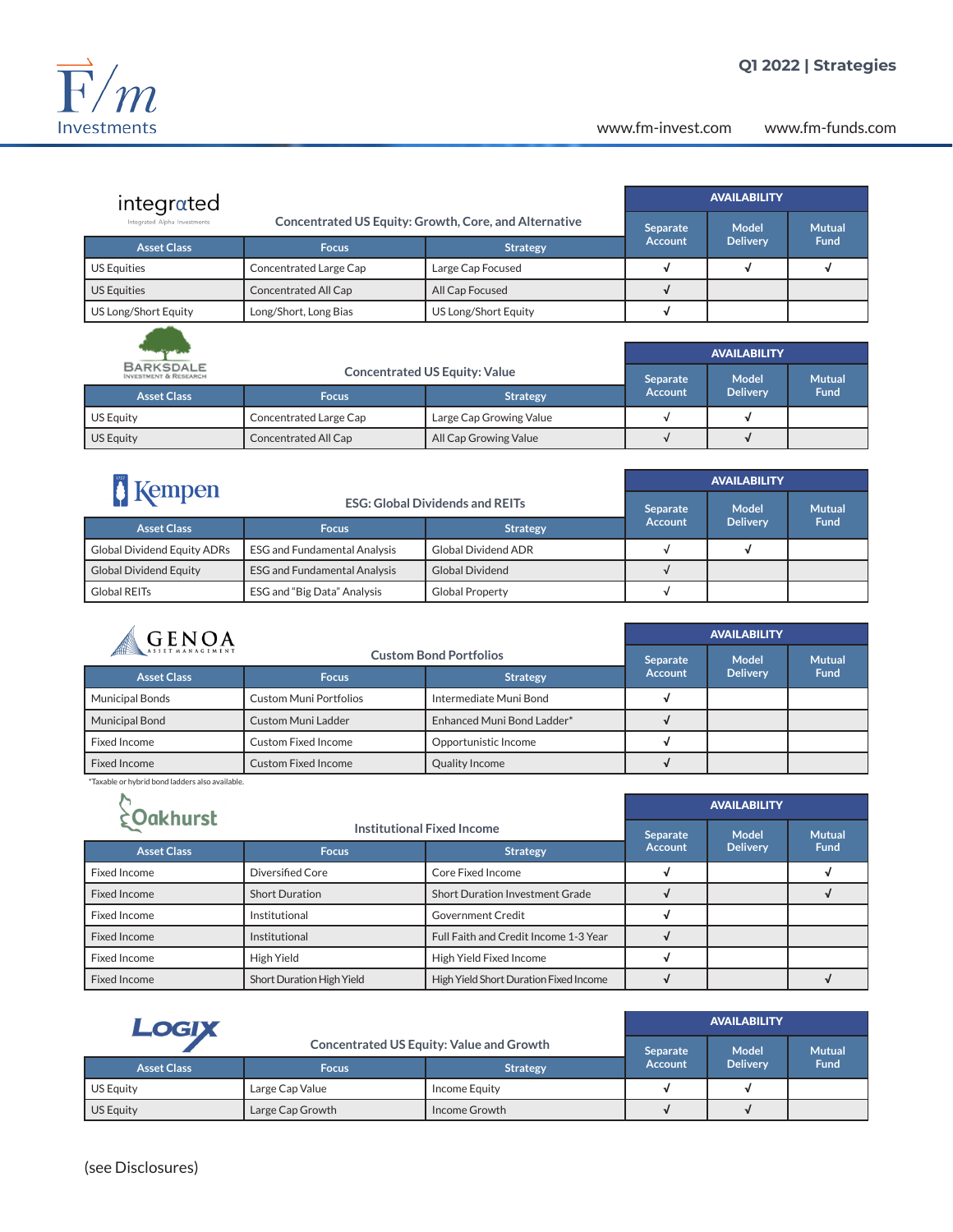

www.fm-invest.com www.fm-funds.com

| integrated                   |                                                       |                      | <b>AVAILABILITY</b> |                 |               |
|------------------------------|-------------------------------------------------------|----------------------|---------------------|-----------------|---------------|
| Integrated Alpha Investments | Concentrated US Equity: Growth, Core, and Alternative |                      | <b>Separate</b>     | <b>Model</b>    | <b>Mutual</b> |
| <b>Asset Class</b>           | <b>Focus</b>                                          | <b>Strategy</b>      | <b>Account</b>      | <b>Delivery</b> | <b>Fund</b>   |
| <b>US Equities</b>           | Concentrated Large Cap                                | Large Cap Focused    |                     |                 |               |
| <b>US Equities</b>           | Concentrated All Cap                                  | All Cap Focused      |                     |                 |               |
| US Long/Short Equity         | Long/Short, Long Bias                                 | US Long/Short Equity |                     |                 |               |
|                              |                                                       |                      |                     |                 |               |

| ليمر القصاد كسينتهما                                 |                                      |                         | <b>AVAILABILITY</b> |                 |               |
|------------------------------------------------------|--------------------------------------|-------------------------|---------------------|-----------------|---------------|
| <b>BARKSDALE</b><br><b>INVESTMENT &amp; RESEARCH</b> | <b>Concentrated US Equity: Value</b> |                         | <b>Separate</b>     | Model           | <b>Mutual</b> |
| <b>Asset Class</b>                                   | <b>Focus</b>                         | <b>Strategy</b>         | <b>Account</b>      | <b>Delivery</b> | <b>Fund</b>   |
| <b>US Equity</b>                                     | Concentrated Large Cap               | Large Cap Growing Value |                     |                 |               |
| US Equity                                            | Concentrated All Cap                 | All Cap Growing Value   |                     |                 |               |

| Kempen                             |                                        |                            | <b>AVAILABILITY</b> |                 |               |
|------------------------------------|----------------------------------------|----------------------------|---------------------|-----------------|---------------|
|                                    | <b>ESG: Global Dividends and REITs</b> |                            | Separate            | <b>Model</b>    | <b>Mutual</b> |
| <b>Asset Class</b>                 | <b>Focus</b>                           | <b>Strategy</b>            | <b>Account</b>      | <b>Delivery</b> | <b>Fund</b>   |
| <b>Global Dividend Equity ADRs</b> | <b>ESG and Fundamental Analysis</b>    | <b>Global Dividend ADR</b> |                     |                 |               |
| <b>Global Dividend Equity</b>      | <b>ESG and Fundamental Analysis</b>    | <b>Global Dividend</b>     |                     |                 |               |
| Global REITs                       | ESG and "Big Data" Analysis            | <b>Global Property</b>     |                     |                 |               |

| <b>GENOA</b>          |                               |                            | <b>AVAILABILITY</b> |                 |               |
|-----------------------|-------------------------------|----------------------------|---------------------|-----------------|---------------|
|                       | <b>Custom Bond Portfolios</b> |                            | Separate            | Model           | <b>Mutual</b> |
| <b>Asset Class</b>    | <b>Focus</b>                  | <b>Strategy</b>            | <b>Account</b>      | <b>Delivery</b> | <b>Fund</b>   |
| Municipal Bonds       | <b>Custom Muni Portfolios</b> | Intermediate Muni Bond     |                     |                 |               |
| <b>Municipal Bond</b> | Custom Muni Ladder            | Enhanced Muni Bond Ladder* |                     |                 |               |
| Fixed Income          | <b>Custom Fixed Income</b>    | Opportunistic Income       |                     |                 |               |
| Fixed Income          | Custom Fixed Income           | Quality Income             |                     |                 |               |

\*Taxable or hybrid bond ladders also available.

| <b>¿Oakhurst</b>    |                                   |                                        | <b>AVAILABILITY</b> |                 |               |
|---------------------|-----------------------------------|----------------------------------------|---------------------|-----------------|---------------|
|                     | <b>Institutional Fixed Income</b> |                                        | <b>Separate</b>     | Model           | <b>Mutual</b> |
| <b>Asset Class</b>  | <b>Focus</b>                      | <b>Strategy</b>                        | <b>Account</b>      | <b>Delivery</b> | <b>Fund</b>   |
| Fixed Income        | Diversified Core                  | Core Fixed Income                      |                     |                 |               |
| <b>Fixed Income</b> | <b>Short Duration</b>             | <b>Short Duration Investment Grade</b> |                     |                 |               |
| Fixed Income        | Institutional                     | <b>Government Credit</b>               |                     |                 |               |
| Fixed Income        | Institutional                     | Full Faith and Credit Income 1-3 Year  |                     |                 |               |
| Fixed Income        | High Yield                        | High Yield Fixed Income                |                     |                 |               |
| <b>Fixed Income</b> | Short Duration High Yield         | High Yield Short Duration Fixed Income |                     |                 |               |

| LOGIX              |                                                 |                 | <b>AVAILABILITY</b> |                 |               |
|--------------------|-------------------------------------------------|-----------------|---------------------|-----------------|---------------|
|                    | <b>Concentrated US Equity: Value and Growth</b> |                 | Separate            | <b>Model</b>    | <b>Mutual</b> |
| <b>Asset Class</b> | <b>Focus</b>                                    | <b>Strategy</b> | <b>Account</b>      | <b>Delivery</b> | <b>Fund</b>   |
| <b>US Equity</b>   | Large Cap Value                                 | Income Equity   |                     |                 |               |
| US Equity          | Large Cap Growth                                | Income Growth   |                     |                 |               |